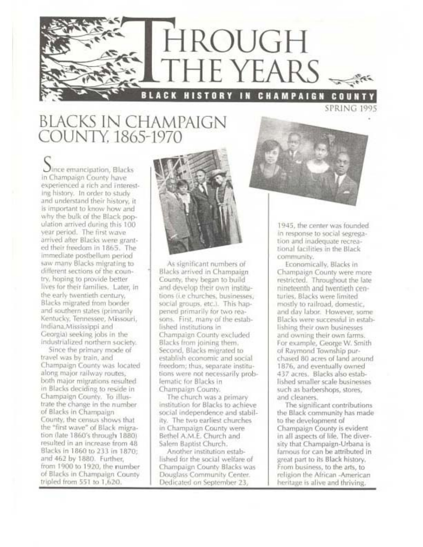

## **BLACKS IN CHAMPAIGN** COUNTY, 1865-1970

 $Q$ ince emancipation, Blacks In Champaign County have experienced a rich and Interesting history. In order to study and understand their history, it is important to know how and why the bulk of the Black population arrived during this 100 year period. The first wave arrived after Blacks were granted their freedom in 1865. The immediate postbellum period saw many Blacks migrating to different sections of the country, hoping to provide better lives for their families. Later, in the early twentieth century. Blacks migrated from border and southern states (primarily Kentucky, Tennessee, Missouri, Indiana.Mississippi and Georgia) seeking jobs in the industrialized northern society.

Since the primary mode of travel was by train, and Champaign County was located along major railway routes, both major migrations resulted in Blacks deciding to reside in Champaign County. To illustrate the change in the number of Blacks in Champaign County, the census shows that the "first wave" of Black migration (late 1860's through 1880). resulted in an increase from 48. Blacks in 1860 to 233 in 1870: and 462 by 1880. Further, from 1900 to 1920, the number of Blacks in Champaign County tripled from 551 to 1,620.



As significant numbers of Blacks arrived in Champaign County, they began to build and develop their own institutions (i.e churches, businesses, social groups, etc.). This happened primarily for two reasons. First, many of the established institutions in Champaign County excluded Blacks from joining them. Second, Blacks migrated to establish economic and social freedom; thus, separate institutions were not necessarily probfematic for Blacks in Champaign County,

The church was a primary institution for Blacks to achieve social independence and stability. The two earliest churches in Champaign County were Bethel A.M.E. Church and Salem Baptist Church.

Another Institution established for the social welfare of Champaign County Blacks was Douglass Community Center. Dedicated on September 23,



1945, the center was founded. in response to social segregation and inadequate recreational facilities in the Black community.

Economically, Blacks in Champaign County were more restricted. Throughout the late nineteenth and twentieth centuries, Blacks were limited mostly to railroad, domestic, and day labor. However, some Blacks were successful in establishing their own businesses and owning their own farms. For example, George W. Smith of Raymond Township purchased 80 acres of land around 1876, and eventually owned 437 acres. Blacks also established smaller scale businesses such as barbershops, stores, and cleaners.

The significant contributions the Black community has made to the development of Champaign County is evident in all aspects of life. The diversity that Champaign-Urbana is famous for can be attributed in great part to its Black history. From business, to the arts, to religion the African -American heritage is alive and thriving.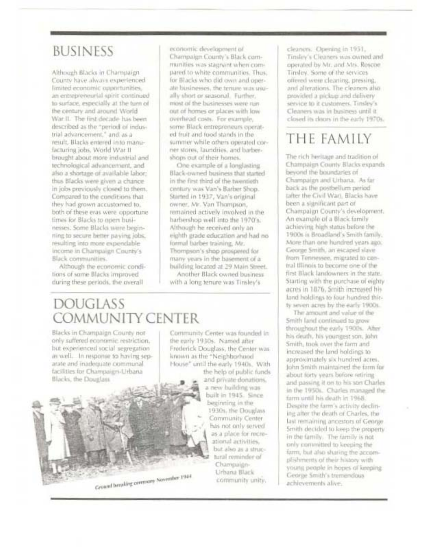# **BUSINESS**

Although Blacks in Champaign County have always experienced limited economic opportunities, an entrepreneurial spirit continued to surface, especially at the turn of the century and around World War. II. The first decade has been described as the "period of industrial advancement," and as a result. Blacks entered into manufacturing jobs, World War II brought about more industrial and technological advancement, and also a shortage of available labor: thus Blacks were given a chance. in jobs previously closed to them. Compared to the conditions that they had grown accustomed to, both of these eras were opportune times for Blacks to open businesses. Some Blacks were beginning to secure better paving jobs. resulting into more expendable Income in Champaign County's Black communities.

Although the economic conditions of some Blacks improved during these periods, the overall

economic development of Champaign County's Black cornmunities was stagnant when compared to white communities. Thus, for Blacks who did own and operate businesses, the tenure was usually short or seasonal. Further, most of the businesses were run out of homes or places with low overhead costs. For example, some Black entrepreneurs operated fruit and food stands in the summer while others operated corner stores, laundries, and barbershops out of their homes.

One example of a longlasting Black-owned business that started in the first third of the twentieth century was Van's Barber Shop. Started in 1937, Van's original owner, Mr. Van Thompson, remained actively involved in the harbershop well into the 1970's. Although he received only an eighth grade education and had no formal barber training, Mr. Thompson's shop prospered for many years in the basement of a building located at 29 Main Street. Another Black owned business

with a long tenure was Tinsley's

### **DOUGLASS COMMUNITY CENTER**

Blacks in Champaign County notonly suffered economic restriction. but experienced social segregation as well. In response to having separate and inadequate communal facilities for Champaign-Urbana Blacks, the Douglass



Community Center was founded in the early 1930s. Named after Frederick Douglass, the Center was known as the "Neighborhood House" until the early 1940s. With

the help of public funds and private donations. a new building was built in 1945. Since bestimming in the 1930s, the Douglass Community Center has not only served. as a place for recreational activities. but also as a structural reminder of Champaign-Urbana Black community unity.

cleaners. Opening in 1951. Tinsley's Cleaners was owned and operated by Mr. and Mrs. Roscoe Tinsley. Some of the services offered were cleaning, pressing, and alterations. The cleaners also provided a pickup and delivery service to it customers. Tinsley's Cleaners was in business until it. closed its doors in the early 1970s.

# THE FAMILY

The rich heritage and tradition of Champaign County Blacks expands beyond the boundaries of Champaign and Urbana. As far back as the postbellum period tafter the Civil Wari. Blacks have been a significant part of Champaign County's development. An example of a Black family achieving high status before the 1900s is Broadland's Smith family. More than one hundred years ago. George Smith, an escaped slave from Tennessee, migrated to central Illinois to become one of the first Black landowners in the state. Starting with the purchase of eighty acres in 1876. Smith increased his land holdings to four hundred thirty seven acres by the early 1900s.

The amount and value of the Smith land continued to grow throughout the early 1900s. After his death, his youngest son, John Smith, took over the farm and increased the land boldings to approximately six hundred acres. John Smith maintained the farm for about forty years before retiring and passing it on to his son Charles in the 1950s. Charles managed the farm until his death in 1968. Despite the farm's activity declining after the death of Charles, the last remaining ancestors of George Smith decided to keep the property in the family. The family is not only committed to keeping the farm, but also sharing the accomplishments of their history with yourig people in hopes of keeping. George Smith's tremendous achievements alive.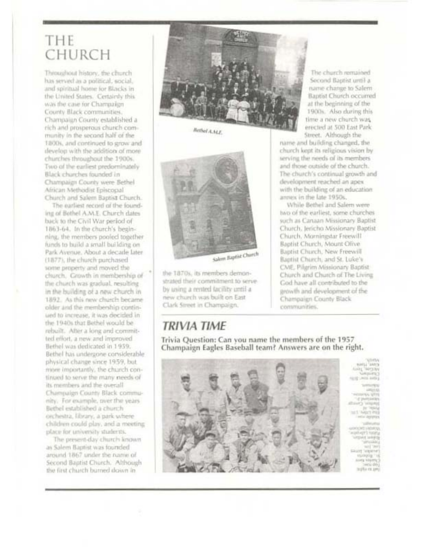## THE CHURCH

Throughout history, the church has served as a political, social, and spiritual home for Blacks in the United States. Certainly this was the case for Champaign County Black communities. Champaign County established a rich and prosperous church community in the second half of the 1800s, and continued to grow and develop with the addition of more churches throughout the 1900s. Two of the earliest predominately Black churches founded in Champaign County were Bethel African Methodist Episcopal Church and Salem Baptist Church.

The earliest record of the founding of Bothel A.M.E. Church dates back to the Civil War period of 1863-64. In the church's beginning, the members pooled together funds to build a small building on Park Avenue, About a decade later (1877), the church purchased some property and moved the church. Growth in membership of the church was gradual, resulting in the building of a new church in 1892. As this new church became older and the membership continued to increase, it was decided in the 1940s that Bethel would be rebuilt. After a long and committed effort, a new and improved Bethel was dedicated in 1959. Bethel has undergone considerable physical change since 1959, but more importantly, the church continued to serve the many needs of its members and the overall Champaign County Black community. For example, over the years Bethel established a church orchestra, library, a park where children could play, and a meeting place for university students.

The present-day church known as Salem Baptist was founded around 1867 under the name of Second Baptist Church. Although the first church burned down in



Bethel A.M.E.



the 1870s, its members demonstrated their commitment to serveby using a rented facility until a new church was built on East Clark Street in Champaign.

### **TRIVIA TIME**

Trivia Question: Can you name the members of the 1957 Champaign Eagles Baseball team? Answers are on the right.



tacation and

The church remained Second Baptist until a name change to Salem Baptist Church occurred at the beginning of the 1900s. Also during this time a new church was erected at 500 East Park Street. Although the

name and building changed, the church kept its religious vision by serving the needs of its members and those outside of the church. The church's continual growth and development reached an apex. with the building of an education annex in the late 1950s.

While Bethel and Salem were two of the earliest, some churches such as Canaan Missionary Baptist Church, Jericho Missionary Baptist Church, Morningstar Freewill Baptist Church, Mount Olive Baptist Church, New Freewill Baptist Church, and St. Luke's CME. Pilgrim Missionary Baptist Church and Church of The Living God have all contributed to the prowth and development of the Champaign County Black communities.